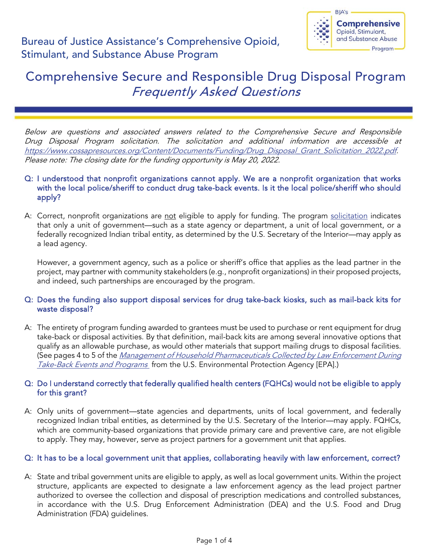

# Comprehensive Secure and Responsible Drug Disposal Program Frequently Asked Questions

Below are questions and associated answers related to the Comprehensive Secure and Responsible Drug Disposal Program solicitation. The solicitation and additional information are accessible at [https://www.cossapresources.org/Content/Documents/Funding/Drug\\_Disposal\\_Grant\\_Solicitation\\_2022.pdf.](https://www.cossapresources.org/Content/Documents/Funding/Drug_Disposal_Grant_Solicitation_2022.pdf) Please note: The closing date for the funding opportunity is May 20, 2022.

## Q: I understood that nonprofit organizations cannot apply. We are a nonprofit organization that works with the local police/sheriff to conduct drug take-back events. Is it the local police/sheriff who should apply?

A: Correct, nonprofit organizations are not eligible to apply for funding. The program [solicitation](https://www.cossapresources.org/Content/Documents/Funding/Drug_Disposal_Grant_Solicitation_2022.pdf) indicates that only a unit of government—such as a state agency or department, a unit of local government, or a federally recognized Indian tribal entity, as determined by the U.S. Secretary of the Interior—may apply as a lead agency.

However, a government agency, such as a police or sheriff's office that applies as the lead partner in the project, may partner with community stakeholders (e.g., nonprofit organizations) in their proposed projects, and indeed, such partnerships are encouraged by the program.

# Q: Does the funding also support disposal services for drug take-back kiosks, such as mail-back kits for waste disposal?

A: The entirety of program funding awarded to grantees must be used to purchase or rent equipment for drug take-back or disposal activities. By that definition, mail-back kits are among several innovative options that qualify as an allowable purchase, as would other materials that support mailing drugs to disposal facilities. (See pages 4 to 5 of the *Management of Household Pharmaceuticals Collected by Law Enforcement During* [Take-Back Events and Programs](https://www.epa.gov/sites/production/files/2018-09/documents/signedwheeler_barnes_pharmaceuticaltakebacks.pdf) from the U.S. Environmental Protection Agency [EPA].)

# Q: Do I understand correctly that federally qualified health centers (FQHCs) would not be eligible to apply for this grant?

A: Only units of government—state agencies and departments, units of local government, and federally recognized Indian tribal entities, as determined by the U.S. Secretary of the Interior—may apply. FQHCs, which are community-based organizations that provide primary care and preventive care, are not eligible to apply. They may, however, serve as project partners for a government unit that applies.

# Q: It has to be a local government unit that applies, collaborating heavily with law enforcement, correct?

A: State and tribal government units are eligible to apply, as well as local government units. Within the project structure, applicants are expected to designate a law enforcement agency as the lead project partner authorized to oversee the collection and disposal of prescription medications and controlled substances, in accordance with the U.S. Drug Enforcement Administration (DEA) and the U.S. Food and Drug Administration (FDA) guidelines.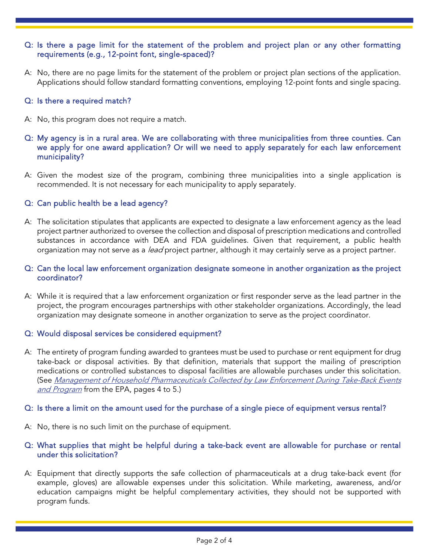## Q: Is there a page limit for the statement of the problem and project plan or any other formatting requirements (e.g., 12-point font, single-spaced)?

A: No, there are no page limits for the statement of the problem or project plan sections of the application. Applications should follow standard formatting conventions, employing 12-point fonts and single spacing.

### Q: Is there a required match?

- A: No, this program does not require a match.
- Q: My agency is in a rural area. We are collaborating with three municipalities from three counties. Can we apply for one award application? Or will we need to apply separately for each law enforcement municipality?
- A: Given the modest size of the program, combining three municipalities into a single application is recommended. It is not necessary for each municipality to apply separately.

## Q: Can public health be a lead agency?

A: The solicitation stipulates that applicants are expected to designate a law enforcement agency as the lead project partner authorized to oversee the collection and disposal of prescription medications and controlled substances in accordance with DEA and FDA guidelines. Given that requirement, a public health organization may not serve as a *lead* project partner, although it may certainly serve as a project partner.

## Q: Can the local law enforcement organization designate someone in another organization as the project coordinator?

A: While it is required that a law enforcement organization or first responder serve as the lead partner in the project, the program encourages partnerships with other stakeholder organizations. Accordingly, the lead organization may designate someone in another organization to serve as the project coordinator.

### Q: Would disposal services be considered equipment?

A: The entirety of program funding awarded to grantees must be used to purchase or rent equipment for drug take-back or disposal activities. By that definition, materials that support the mailing of prescription medications or controlled substances to disposal facilities are allowable purchases under this solicitation. (See [Management of Household Pharmaceuticals Collected by Law Enforcement During Take-Back Events](https://www.epa.gov/sites/production/files/2018-09/documents/signedwheeler_barnes_pharmaceuticaltakebacks.pdf)  [and Program](https://www.epa.gov/sites/production/files/2018-09/documents/signedwheeler_barnes_pharmaceuticaltakebacks.pdf) from the EPA, pages 4 to 5.)

### Q: Is there a limit on the amount used for the purchase of a single piece of equipment versus rental?

A: No, there is no such limit on the purchase of equipment.

## Q: What supplies that might be helpful during a take-back event are allowable for purchase or rental under this solicitation?

A: Equipment that directly supports the safe collection of pharmaceuticals at a drug take-back event (for example, gloves) are allowable expenses under this solicitation. While marketing, awareness, and/or education campaigns might be helpful complementary activities, they should not be supported with program funds.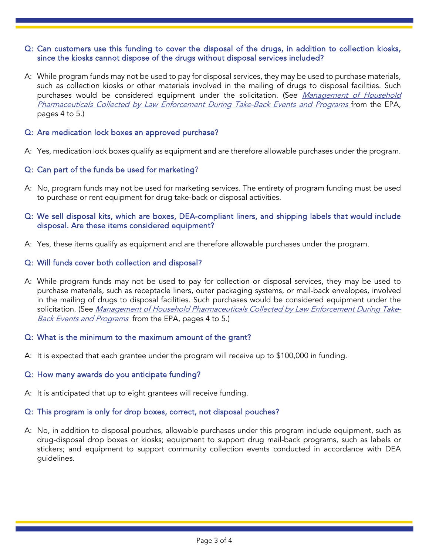## Q: Can customers use this funding to cover the disposal of the drugs, in addition to collection kiosks, since the kiosks cannot dispose of the drugs without disposal services included?

A: While program funds may not be used to pay for disposal services, they may be used to purchase materials, such as collection kiosks or other materials involved in the mailing of drugs to disposal facilities. Such purchases would be considered equipment under the solicitation. (See *Management of Household* [Pharmaceuticals Collected by Law Enforcement During Take-Back Events and Programs](https://www.epa.gov/sites/default/files/2018-09/documents/signedwheeler_barnes_pharmaceuticaltakebacks.pdf) from the EPA, pages 4 to 5.)

## Q: Are medication lock boxes an approved purchase?

A: Yes, medication lock boxes qualify as equipment and are therefore allowable purchases under the program.

## Q: Can part of the funds be used for marketing?

A: No, program funds may not be used for marketing services. The entirety of program funding must be used to purchase or rent equipment for drug take-back or disposal activities.

## Q: We sell disposal kits, which are boxes, DEA-compliant liners, and shipping labels that would include disposal. Are these items considered equipment?

A: Yes, these items qualify as equipment and are therefore allowable purchases under the program.

### Q: Will funds cover both collection and disposal?

A: While program funds may not be used to pay for collection or disposal services, they may be used to purchase materials, such as receptacle liners, outer packaging systems, or mail-back envelopes, involved in the mailing of drugs to disposal facilities. Such purchases would be considered equipment under the solicitation. (See [Management of Household Pharmaceuticals Collected by Law Enforcement During Take-](https://www.epa.gov/sites/production/files/2018-09/documents/signedwheeler_barnes_pharmaceuticaltakebacks.pdf)[Back Events and Programs](https://www.epa.gov/sites/production/files/2018-09/documents/signedwheeler_barnes_pharmaceuticaltakebacks.pdf) from the EPA, pages 4 to 5.)

### Q: What is the minimum to the maximum amount of the grant?

A: It is expected that each grantee under the program will receive up to \$100,000 in funding.

### Q: How many awards do you anticipate funding?

A: It is anticipated that up to eight grantees will receive funding.

### Q: This program is only for drop boxes, correct, not disposal pouches?

A: No, in addition to disposal pouches, allowable purchases under this program include equipment, such as drug-disposal drop boxes or kiosks; equipment to support drug mail-back programs, such as labels or stickers; and equipment to support community collection events conducted in accordance with DEA guidelines.